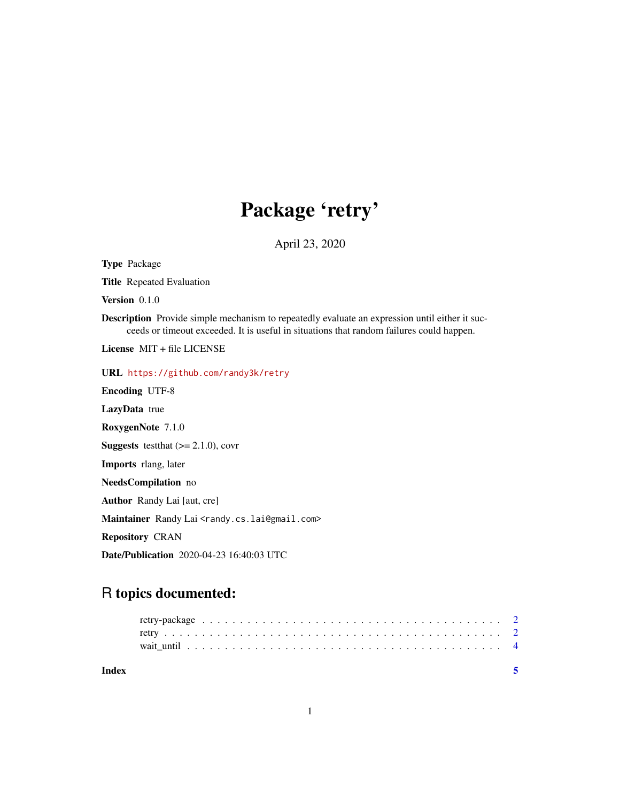## Package 'retry'

April 23, 2020

Type Package Title Repeated Evaluation Version 0.1.0 Description Provide simple mechanism to repeatedly evaluate an expression until either it succeeds or timeout exceeded. It is useful in situations that random failures could happen. License MIT + file LICENSE URL <https://github.com/randy3k/retry> Encoding UTF-8 LazyData true RoxygenNote 7.1.0 **Suggests** test that  $(>= 2.1.0)$ , cover Imports rlang, later NeedsCompilation no Author Randy Lai [aut, cre] Maintainer Randy Lai <randy.cs.lai@gmail.com> Repository CRAN Date/Publication 2020-04-23 16:40:03 UTC

### R topics documented:

| Index |  |  |  |  |  |  |  |  |  |  |  |  |  |  |  |  |  |  |
|-------|--|--|--|--|--|--|--|--|--|--|--|--|--|--|--|--|--|--|
|       |  |  |  |  |  |  |  |  |  |  |  |  |  |  |  |  |  |  |
|       |  |  |  |  |  |  |  |  |  |  |  |  |  |  |  |  |  |  |
|       |  |  |  |  |  |  |  |  |  |  |  |  |  |  |  |  |  |  |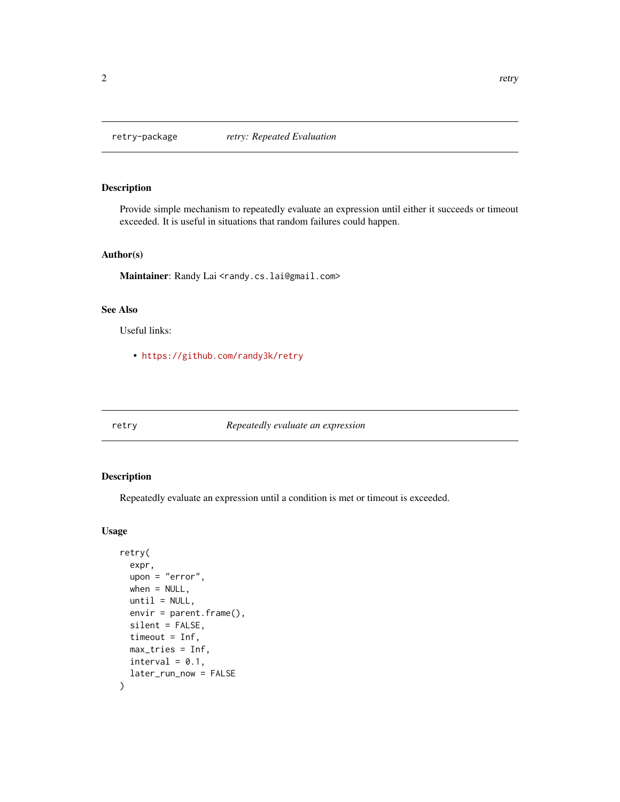#### Description

Provide simple mechanism to repeatedly evaluate an expression until either it succeeds or timeout exceeded. It is useful in situations that random failures could happen.

#### Author(s)

Maintainer: Randy Lai <randy.cs.lai@gmail.com>

#### See Also

Useful links:

• <https://github.com/randy3k/retry>

#### retry *Repeatedly evaluate an expression*

#### Description

Repeatedly evaluate an expression until a condition is met or timeout is exceeded.

#### Usage

```
retry(
  expr,
  upon = "error",
 when = NULL,until = NULL,envir = parent.frame(),
  silent = FALSE,
  timeout = Inf,
 max_tries = Inf,
  interval = 0.1,
  later_run_now = FALSE
\mathcal{E}
```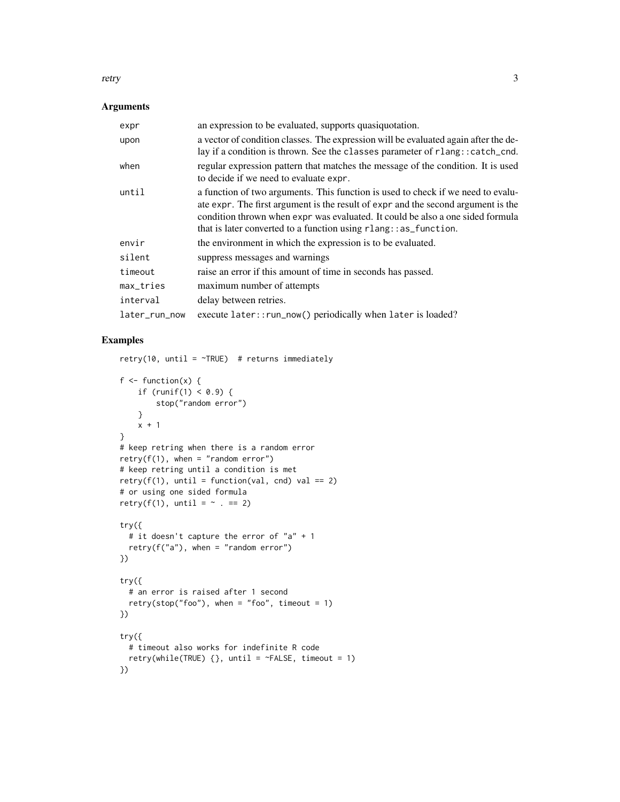#### retry 3

#### Arguments

| expr          | an expression to be evaluated, supports quasiquotation.                                                                                                                                                                                                                                                                       |
|---------------|-------------------------------------------------------------------------------------------------------------------------------------------------------------------------------------------------------------------------------------------------------------------------------------------------------------------------------|
| upon          | a vector of condition classes. The expression will be evaluated again after the de-<br>lay if a condition is thrown. See the classes parameter of rlang:: catch_cnd.                                                                                                                                                          |
| when          | regular expression pattern that matches the message of the condition. It is used<br>to decide if we need to evaluate expr.                                                                                                                                                                                                    |
| until         | a function of two arguments. This function is used to check if we need to evalu-<br>ate expr. The first argument is the result of expr and the second argument is the<br>condition thrown when expr was evaluated. It could be also a one sided formula<br>that is later converted to a function using $rlang::as_function$ . |
| envir         | the environment in which the expression is to be evaluated.                                                                                                                                                                                                                                                                   |
| silent        | suppress messages and warnings                                                                                                                                                                                                                                                                                                |
| timeout       | raise an error if this amount of time in seconds has passed.                                                                                                                                                                                                                                                                  |
| max_tries     | maximum number of attempts                                                                                                                                                                                                                                                                                                    |
| interval      | delay between retries.                                                                                                                                                                                                                                                                                                        |
| later_run_now | execute later:: run_now() periodically when later is loaded?                                                                                                                                                                                                                                                                  |

#### Examples

```
retry(10, until = \simTRUE) # returns immediately
f \leftarrow function(x) {
   if (runif(1) < 0.9) {
        stop("random error")
   }
   x + 1}
# keep retring when there is a random error
retry(f(1), when = "random error")# keep retring until a condition is met
retry(f(1), until = function(val, end) val == 2)# or using one sided formula
retry(f(1), until = \sim . == 2)
try({
  # it doesn't capture the error of "a" + 1
  retry(f("a"), when = "random error")
})
try({
  # an error is raised after 1 second
 retry(stop("foo"), when = "foo", timeout = 1)
})
try({
  # timeout also works for indefinite R code
  retry(while(TRUE) \{\}, until = ~FALSE, timeout = 1)
})
```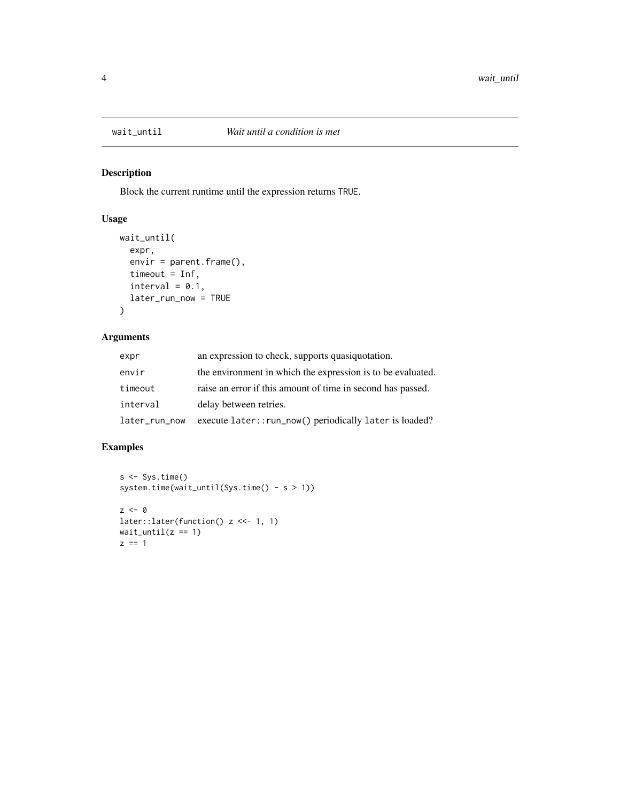<span id="page-3-0"></span>

#### Description

Block the current runtime until the expression returns TRUE.

#### Usage

```
wait_until(
  expr,
  envir = parent.frame(),
  timeout = Inf,
  interval = 0.1,
  later_run_now = TRUE
\mathcal{L}
```
#### Arguments

| expr          | an expression to check, supports quasiquotation.            |
|---------------|-------------------------------------------------------------|
| envir         | the environment in which the expression is to be evaluated. |
| timeout       | raise an error if this amount of time in second has passed. |
| interval      | delay between retries.                                      |
| later_run_now | execute later:: run_now() periodically later is loaded?     |

#### Examples

```
s <- Sys.time()
system.time(wait_until(Sys.time() - s > 1))
z \le -\thetalater::later(function() z <<- 1, 1)
wait\_until(z == 1)z == 1
```